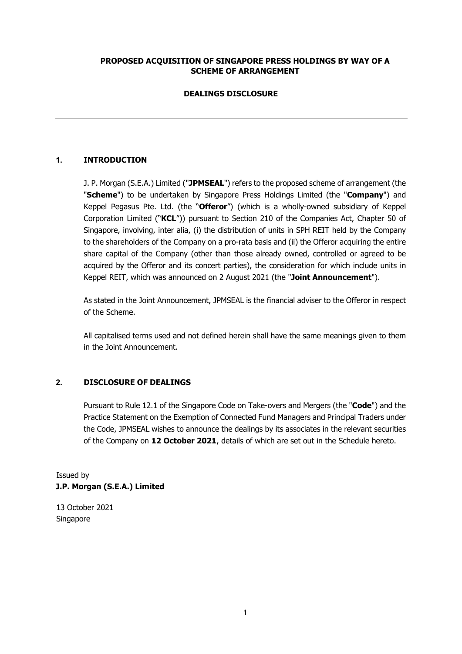## **PROPOSED ACQUISITION OF SINGAPORE PRESS HOLDINGS BY WAY OF A SCHEME OF ARRANGEMENT**

## **DEALINGS DISCLOSURE**

## **1. INTRODUCTION**

J. P. Morgan (S.E.A.) Limited ("**JPMSEAL**") refers to the proposed scheme of arrangement (the "**Scheme**") to be undertaken by Singapore Press Holdings Limited (the "**Company**") and Keppel Pegasus Pte. Ltd. (the "**Offeror**") (which is a wholly-owned subsidiary of Keppel Corporation Limited ("**KCL**")) pursuant to Section 210 of the Companies Act, Chapter 50 of Singapore, involving, inter alia, (i) the distribution of units in SPH REIT held by the Company to the shareholders of the Company on a pro-rata basis and (ii) the Offeror acquiring the entire share capital of the Company (other than those already owned, controlled or agreed to be acquired by the Offeror and its concert parties), the consideration for which include units in Keppel REIT, which was announced on 2 August 2021 (the "**Joint Announcement**").

As stated in the Joint Announcement, JPMSEAL is the financial adviser to the Offeror in respect of the Scheme.

All capitalised terms used and not defined herein shall have the same meanings given to them in the Joint Announcement.

### **2. DISCLOSURE OF DEALINGS**

Pursuant to Rule 12.1 of the Singapore Code on Take-overs and Mergers (the "**Code**") and the Practice Statement on the Exemption of Connected Fund Managers and Principal Traders under the Code, JPMSEAL wishes to announce the dealings by its associates in the relevant securities of the Company on **12 October 2021**, details of which are set out in the Schedule hereto.

Issued by **J.P. Morgan (S.E.A.) Limited** 

13 October 2021 Singapore